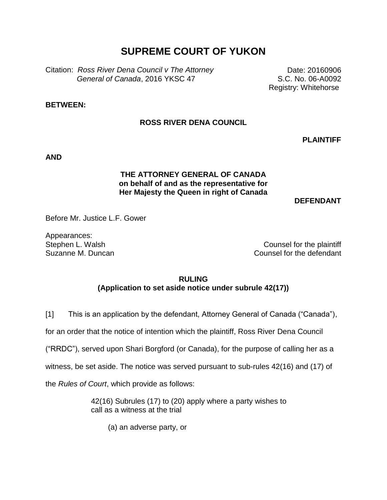# **SUPREME COURT OF YUKON**

Citation: *Ross River Dena Council v The Attorney General of Canada*, 2016 YKSC 47

Date: 20160906 S.C. No. 06-A0092 Registry: Whitehorse

### **BETWEEN:**

## **ROSS RIVER DENA COUNCIL**

**PLAINTIFF**

**AND**

## **THE ATTORNEY GENERAL OF CANADA on behalf of and as the representative for Her Majesty the Queen in right of Canada**

#### **DEFENDANT**

Before Mr. Justice L.F. Gower

Appearances:

Stephen L. Walsh Counsel for the plaintiff Suzanne M. Duncan Counsel for the defendant

#### **RULING**

**(Application to set aside notice under subrule 42(17))**

[1] This is an application by the defendant, Attorney General of Canada ("Canada"),

for an order that the notice of intention which the plaintiff, Ross River Dena Council

("RRDC"), served upon Shari Borgford (or Canada), for the purpose of calling her as a

witness, be set aside. The notice was served pursuant to sub-rules 42(16) and (17) of

the *Rules of Court*, which provide as follows:

42(16) Subrules (17) to (20) apply where a party wishes to call as a witness at the trial

(a) an adverse party, or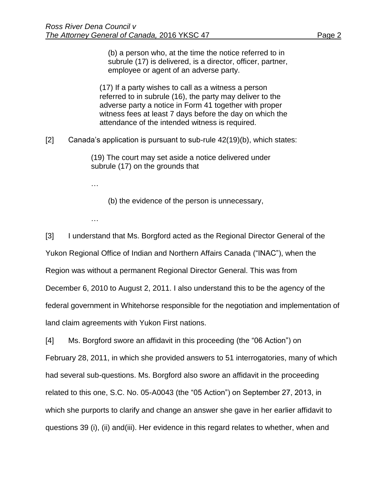(b) a person who, at the time the notice referred to in subrule (17) is delivered, is a director, officer, partner, employee or agent of an adverse party.

(17) If a party wishes to call as a witness a person referred to in subrule (16), the party may deliver to the adverse party a notice in Form 41 together with proper witness fees at least 7 days before the day on which the attendance of the intended witness is required.

[2] Canada's application is pursuant to sub-rule 42(19)(b), which states:

(19) The court may set aside a notice delivered under subrule (17) on the grounds that

…

(b) the evidence of the person is unnecessary,

…

[3] I understand that Ms. Borgford acted as the Regional Director General of the Yukon Regional Office of Indian and Northern Affairs Canada ("INAC"), when the Region was without a permanent Regional Director General. This was from December 6, 2010 to August 2, 2011. I also understand this to be the agency of the federal government in Whitehorse responsible for the negotiation and implementation of land claim agreements with Yukon First nations.

[4] Ms. Borgford swore an affidavit in this proceeding (the "06 Action") on February 28, 2011, in which she provided answers to 51 interrogatories, many of which had several sub-questions. Ms. Borgford also swore an affidavit in the proceeding related to this one, S.C. No. 05-A0043 (the "05 Action") on September 27, 2013, in which she purports to clarify and change an answer she gave in her earlier affidavit to questions 39 (i), (ii) and(iii). Her evidence in this regard relates to whether, when and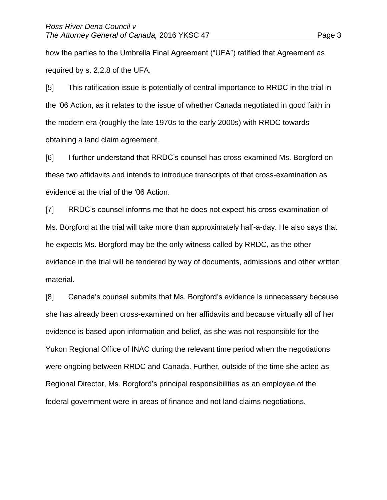how the parties to the Umbrella Final Agreement ("UFA") ratified that Agreement as required by s. 2.2.8 of the UFA.

[5] This ratification issue is potentially of central importance to RRDC in the trial in the '06 Action, as it relates to the issue of whether Canada negotiated in good faith in the modern era (roughly the late 1970s to the early 2000s) with RRDC towards obtaining a land claim agreement.

[6] I further understand that RRDC's counsel has cross-examined Ms. Borgford on these two affidavits and intends to introduce transcripts of that cross-examination as evidence at the trial of the '06 Action.

[7] RRDC's counsel informs me that he does not expect his cross-examination of Ms. Borgford at the trial will take more than approximately half-a-day. He also says that he expects Ms. Borgford may be the only witness called by RRDC, as the other evidence in the trial will be tendered by way of documents, admissions and other written material.

[8] Canada's counsel submits that Ms. Borgford's evidence is unnecessary because she has already been cross-examined on her affidavits and because virtually all of her evidence is based upon information and belief, as she was not responsible for the Yukon Regional Office of INAC during the relevant time period when the negotiations were ongoing between RRDC and Canada. Further, outside of the time she acted as Regional Director, Ms. Borgford's principal responsibilities as an employee of the federal government were in areas of finance and not land claims negotiations.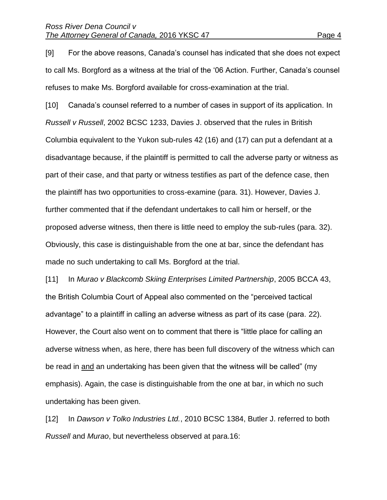[9] For the above reasons, Canada's counsel has indicated that she does not expect to call Ms. Borgford as a witness at the trial of the '06 Action. Further, Canada's counsel refuses to make Ms. Borgford available for cross-examination at the trial.

[10] Canada's counsel referred to a number of cases in support of its application. In *Russell v Russell*, 2002 BCSC 1233, Davies J. observed that the rules in British Columbia equivalent to the Yukon sub-rules 42 (16) and (17) can put a defendant at a disadvantage because, if the plaintiff is permitted to call the adverse party or witness as part of their case, and that party or witness testifies as part of the defence case, then the plaintiff has two opportunities to cross-examine (para. 31). However, Davies J. further commented that if the defendant undertakes to call him or herself, or the proposed adverse witness, then there is little need to employ the sub-rules (para. 32). Obviously, this case is distinguishable from the one at bar, since the defendant has made no such undertaking to call Ms. Borgford at the trial.

[11] In *Murao v Blackcomb Skiing Enterprises Limited Partnership*, 2005 BCCA 43, the British Columbia Court of Appeal also commented on the "perceived tactical advantage" to a plaintiff in calling an adverse witness as part of its case (para. 22). However, the Court also went on to comment that there is "little place for calling an adverse witness when, as here, there has been full discovery of the witness which can be read in and an undertaking has been given that the witness will be called" (my emphasis). Again, the case is distinguishable from the one at bar, in which no such undertaking has been given.

[12] In *Dawson v Tolko Industries Ltd.*, 2010 BCSC 1384, Butler J. referred to both *Russell* and *Murao*, but nevertheless observed at para.16: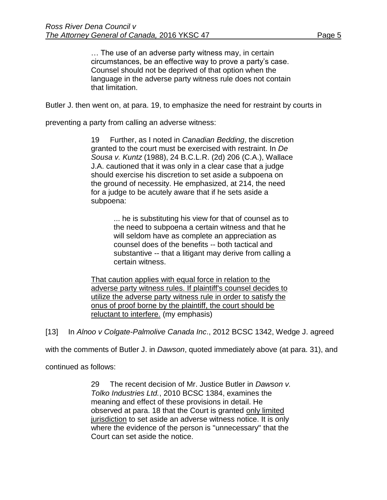… The use of an adverse party witness may, in certain circumstances, be an effective way to prove a party's case. Counsel should not be deprived of that option when the language in the adverse party witness rule does not contain that limitation.

Butler J. then went on, at para. 19, to emphasize the need for restraint by courts in

preventing a party from calling an adverse witness:

19 Further, as I noted in *Canadian Bedding*, the discretion granted to the court must be exercised with restraint. In *De Sousa v. Kuntz* [\(1988\), 24 B.C.L.R. \(2d\) 206](https://www.lexisnexis.com/ca/legal/search/runRemoteLink.do?A=0.42367237469742114&bct=A&service=citation&risb=21_T24613604986&langcountry=CA&linkInfo=F%23CA%23BCLR2%23vol%2524%25sel1%251988%25page%25206%25year%251988%25sel2%2524%25decisiondate%251988%25) (C.A.), Wallace J.A. cautioned that it was only in a clear case that a judge should exercise his discretion to set aside a subpoena on the ground of necessity. He emphasized, at 214, the need for a judge to be acutely aware that if he sets aside a subpoena:

> ... he is substituting his view for that of counsel as to the need to subpoena a certain witness and that he will seldom have as complete an appreciation as counsel does of the benefits -- both tactical and substantive -- that a litigant may derive from calling a certain witness.

That caution applies with equal force in relation to the adverse party witness rules. If plaintiff's counsel decides to utilize the adverse party witness rule in order to satisfy the onus of proof borne by the plaintiff, the court should be reluctant to interfere. (my emphasis)

[13] In *Alnoo v Colgate-Palmolive Canada Inc*., 2012 BCSC 1342, Wedge J. agreed

with the comments of Butler J. in *Dawson*, quoted immediately above (at para. 31), and

continued as follows:

29 The recent decision of Mr. Justice Butler in *Dawson v. Tolko Industries Ltd.*, [2010 BCSC 1384,](https://www.lexisnexis.com/ca/legal/search/runRemoteLink.do?A=0.7860911107624453&bct=A&service=citation&risb=21_T24613617890&langcountry=CA&linkInfo=F%23CA%23BCSC%23sel1%252010%25year%252010%25decisiondate%252010%25onum%251384%25) examines the meaning and effect of these provisions in detail. He observed at para. 18 that the Court is granted only limited jurisdiction to set aside an adverse witness notice. It is only where the evidence of the person is "unnecessary" that the Court can set aside the notice.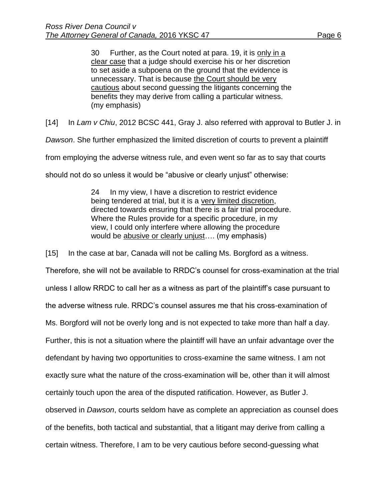30 Further, as the Court noted at para. 19, it is only in a clear case that a judge should exercise his or her discretion to set aside a subpoena on the ground that the evidence is unnecessary. That is because the Court should be very cautious about second guessing the litigants concerning the benefits they may derive from calling a particular witness. (my emphasis)

[14] In *Lam v Chiu*, 2012 BCSC 441, Gray J. also referred with approval to Butler J. in

*Dawson*. She further emphasized the limited discretion of courts to prevent a plaintiff

from employing the adverse witness rule, and even went so far as to say that courts

should not do so unless it would be "abusive or clearly unjust" otherwise:

24 In my view, I have a discretion to restrict evidence being tendered at trial, but it is a very limited discretion, directed towards ensuring that there is a fair trial procedure. Where the Rules provide for a specific procedure, in my view, I could only interfere where allowing the procedure would be abusive or clearly unjust…. (my emphasis)

[15] In the case at bar, Canada will not be calling Ms. Borgford as a witness.

Therefore, she will not be available to RRDC's counsel for cross-examination at the trial unless I allow RRDC to call her as a witness as part of the plaintiff's case pursuant to the adverse witness rule. RRDC's counsel assures me that his cross-examination of Ms. Borgford will not be overly long and is not expected to take more than half a day. Further, this is not a situation where the plaintiff will have an unfair advantage over the defendant by having two opportunities to cross-examine the same witness. I am not exactly sure what the nature of the cross-examination will be, other than it will almost certainly touch upon the area of the disputed ratification. However, as Butler J. observed in *Dawson*, courts seldom have as complete an appreciation as counsel does of the benefits, both tactical and substantial, that a litigant may derive from calling a certain witness. Therefore, I am to be very cautious before second-guessing what